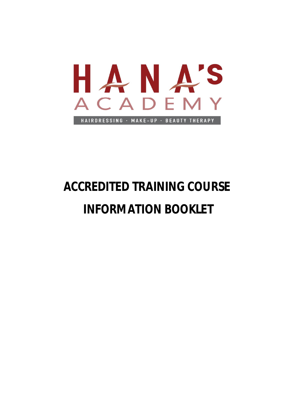

# **ACCREDITED TRAINING COURSE INFORMATION BOOKLET**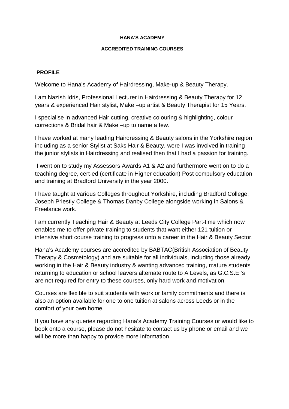## **ACCREDITED TRAINING COURSES**

## **PROFILE**

Welcome to Hana's Academy of Hairdressing, Make-up & Beauty Therapy.

I am Nazish Idris, Professional Lecturer in Hairdressing & Beauty Therapy for 12 years & experienced Hair stylist, Make –up artist & Beauty Therapist for 15 Years.

I specialise in advanced Hair cutting, creative colouring & highlighting, colour corrections & Bridal hair & Make –up to name a few.

I have worked at many leading Hairdressing & Beauty salons in the Yorkshire region including as a senior Stylist at Saks Hair & Beauty, were I was involved in training the junior stylists in Hairdressing and realised then that I had a passion for training.

 I went on to study my Assessors Awards A1 & A2 and furthermore went on to do a teaching degree, cert-ed (certificate in Higher education) Post compulsory education and training at Bradford University in the year 2000.

I have taught at various Colleges throughout Yorkshire, including Bradford College, Joseph Priestly College & Thomas Danby College alongside working in Salons & Freelance work.

I am currently Teaching Hair & Beauty at Leeds City College Part-time which now enables me to offer private training to students that want either 121 tuition or intensive short course training to progress onto a career in the Hair & Beauty Sector.

Hana's Academy courses are accredited by BABTAC(British Association of Beauty Therapy & Cosmetology) and are suitable for all individuals, including those already working in the Hair & Beauty industry & wanting advanced training, mature students returning to education or school leavers alternate route to A Levels, as G.C.S.E 's are not required for entry to these courses, only hard work and motivation.

Courses are flexible to suit students with work or family commitments and there is also an option available for one to one tuition at salons across Leeds or in the comfort of your own home.

If you have any queries regarding Hana's Academy Training Courses or would like to book onto a course, please do not hesitate to contact us by phone or email and we will be more than happy to provide more information.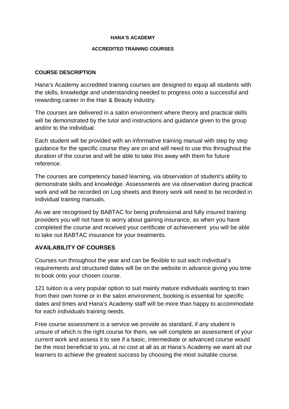## **ACCREDITED TRAINING COURSES**

# **COURSE DESCRIPTION**

Hana's Academy accredited training courses are designed to equip all students with the skills, knowledge and understanding needed to progress onto a successful and rewarding career in the Hair & Beauty industry.

The courses are delivered in a salon environment where theory and practical skills will be demonstrated by the tutor and instructions and guidance given to the group and/or to the individual.

Each student will be provided with an informative training manual with step by step guidance for the specific course they are on and will need to use this throughout the duration of the course and will be able to take this away with them for future reference.

The courses are competency based learning, via observation of student's ability to demonstrate skills and knowledge. Assessments are via observation during practical work and will be recorded on Log sheets and theory work will need to be recorded in individual training manuals.

As we are recognised by BABTAC for being professional and fully insured training providers you will not have to worry about gaining insurance, as when you have completed the course and received your certificate of achievement you will be able to take out BABTAC insurance for your treatments.

# **AVAILABILITY OF COURSES**

Courses run throughout the year and can be flexible to suit each individual's requirements and structured dates will be on the website in advance giving you time to book onto your chosen course.

121 tuition is a very popular option to suit mainly mature individuals wanting to train from their own home or in the salon environment, booking is essential for specific dates and times and Hana's Academy staff will be more than happy to accommodate for each individuals training needs.

Free course assessment is a service we provide as standard, if any student is unsure of which is the right course for them, we will complete an assessment of your current work and assess it to see if a basic, intermediate or advanced course would be the most beneficial to you, at no cost at all as at Hana's Academy we want all our learners to achieve the greatest success by choosing the most suitable course.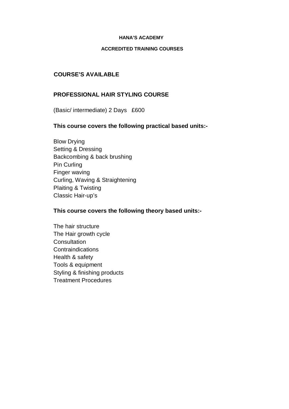## **ACCREDITED TRAINING COURSES**

# **COURSE'S AVAILABLE**

# **PROFESSIONAL HAIR STYLING COURSE**

(Basic/ intermediate) 2 Days £600

# **This course covers the following practical based units:-**

Blow Drying Setting & Dressing Backcombing & back brushing Pin Curling Finger waving Curling, Waving & Straightening Plaiting & Twisting Classic Hair-up's

# **This course covers the following theory based units:-**

The hair structure The Hair growth cycle **Consultation Contraindications** Health & safety Tools & equipment Styling & finishing products Treatment Procedures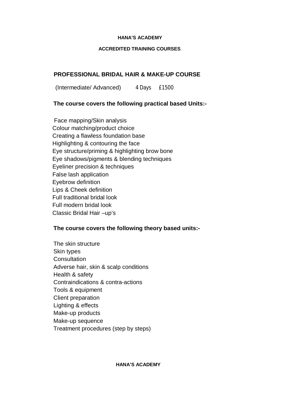## **ACCREDITED TRAINING COURSES**

# **PROFESSIONAL BRIDAL HAIR & MAKE-UP COURSE**

(Intermediate/ Advanced) 4 Days £1500

# **The course covers the following practical based Units:-**

 Face mapping/Skin analysis Colour matching/product choice Creating a flawless foundation base Highlighting & contouring the face Eye structure/priming & highlighting brow bone Eye shadows/pigments & blending techniques Eyeliner precision & techniques False lash application Eyebrow definition Lips & Cheek definition Full traditional bridal look Full modern bridal look Classic Bridal Hair –up's

# **The course covers the following theory based units:-**

The skin structure Skin types **Consultation** Adverse hair, skin & scalp conditions Health & safety Contraindications & contra-actions Tools & equipment Client preparation Lighting & effects Make-up products Make-up sequence Treatment procedures (step by steps)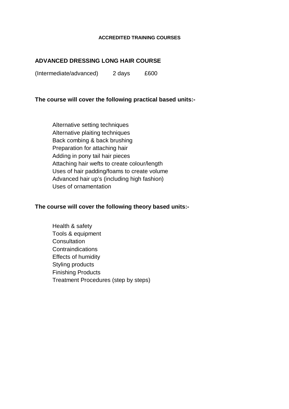#### **ACCREDITED TRAINING COURSES**

# **ADVANCED DRESSING LONG HAIR COURSE**

(Intermediate/advanced) 2 days £600

# **The course will cover the following practical based units:-**

Alternative setting techniques Alternative plaiting techniques Back combing & back brushing Preparation for attaching hair Adding in pony tail hair pieces Attaching hair wefts to create colour/length Uses of hair padding/foams to create volume Advanced hair up's (including high fashion) Uses of ornamentation

## **The course will cover the following theory based units:-**

Health & safety Tools & equipment **Consultation Contraindications** Effects of humidity Styling products Finishing Products Treatment Procedures (step by steps)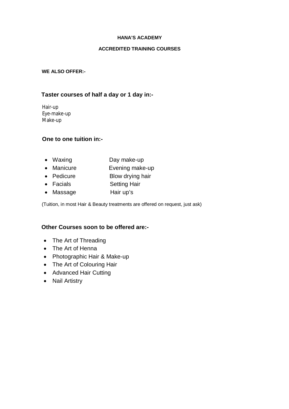## **ACCREDITED TRAINING COURSES**

## **WE ALSO OFFER:-**

## **Taster courses of half a day or 1 day in:-**

 Hair-up Eye-make-up Make-up

# **One to one tuition in:-**

- Waxing Day make-up
- Manicure **Evening make-up**
- Pedicure Blow drying hair
- Facials **Setting Hair**
- Massage Hair up's

(Tuition, in most Hair & Beauty treatments are offered on request, just ask)

# **Other Courses soon to be offered are:-**

- The Art of Threading
- The Art of Henna
- Photographic Hair & Make-up
- The Art of Colouring Hair
- Advanced Hair Cutting
- Nail Artistry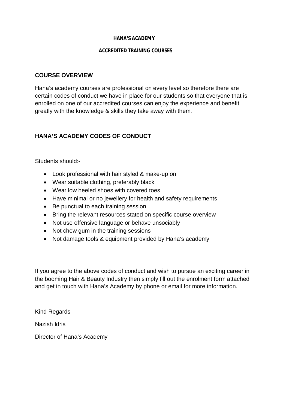## **ACCREDITED TRAINING COURSES**

# **COURSE OVERVIEW**

Hana's academy courses are professional on every level so therefore there are certain codes of conduct we have in place for our students so that everyone that is enrolled on one of our accredited courses can enjoy the experience and benefit greatly with the knowledge & skills they take away with them.

# **HANA'S ACADEMY CODES OF CONDUCT**

Students should:-

- Look professional with hair styled & make-up on
- Wear suitable clothing, preferably black
- Wear low heeled shoes with covered toes
- Have minimal or no jewellery for health and safety requirements
- Be punctual to each training session
- Bring the relevant resources stated on specific course overview
- Not use offensive language or behave unsociably
- Not chew gum in the training sessions
- Not damage tools & equipment provided by Hana's academy

If you agree to the above codes of conduct and wish to pursue an exciting career in the booming Hair & Beauty Industry then simply fill out the enrolment form attached and get in touch with Hana's Academy by phone or email for more information.

Kind Regards

Nazish Idris

Director of Hana's Academy